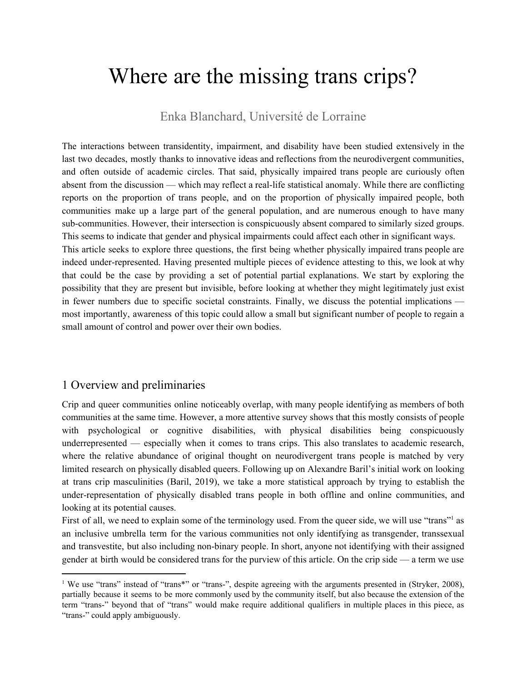# Where are the missing trans crips?

## Enka Blanchard, Université de Lorraine

The interactions between transidentity, impairment, and disability have been studied extensively in the last two decades, mostly thanks to innovative ideas and reflections from the neurodivergent communities, and often outside of academic circles. That said, physically impaired trans people are curiously often absent from the discussion — which may reflect a real-life statistical anomaly. While there are conflicting reports on the proportion of trans people, and on the proportion of physically impaired people, both communities make up a large part of the general population, and are numerous enough to have many sub-communities. However, their intersection is conspicuously absent compared to similarly sized groups. This seems to indicate that gender and physical impairments could affect each other in significant ways. This article seeks to explore three questions, the first being whether physically impaired trans people are indeed under-represented. Having presented multiple pieces of evidence attesting to this, we look at why that could be the case by providing a set of potential partial explanations. We start by exploring the possibility that they are present but invisible, before looking at whether they might legitimately just exist in fewer numbers due to specific societal constraints. Finally, we discuss the potential implications most importantly, awareness of this topic could allow a small but significant number of people to regain a small amount of control and power over their own bodies.

## 1 Overview and preliminaries

Crip and queer communities online noticeably overlap, with many people identifying as members of both communities at the same time. However, a more attentive survey shows that this mostly consists of people with psychological or cognitive disabilities, with physical disabilities being conspicuously underrepresented — especially when it comes to trans crips. This also translates to academic research, where the relative abundance of original thought on neurodivergent trans people is matched by very limited research on physically disabled queers. Following up on Alexandre Baril's initial work on looking at trans crip masculinities (Baril, 2019), we take a more statistical approach by trying to establish the under-representation of physically disabled trans people in both offline and online communities, and looking at its potential causes.

First of all, we need to explain some of the terminology used. From the queer side, we will use "trans" as an inclusive umbrella term for the various communities not only identifying as transgender, transsexual and transvestite, but also including non-binary people. In short, anyone not identifying with their assigned gender at birth would be considered trans for the purview of this article. On the crip side — a term we use

<sup>&</sup>lt;sup>1</sup> We use "trans" instead of "trans<sup>\*</sup>" or "trans-", despite agreeing with the arguments presented in (Stryker, 2008), partially because it seems to be more commonly used by the community itself, but also because the extension of the term "trans-" beyond that of "trans" would make require additional qualifiers in multiple places in this piece, as "trans-" could apply ambiguously.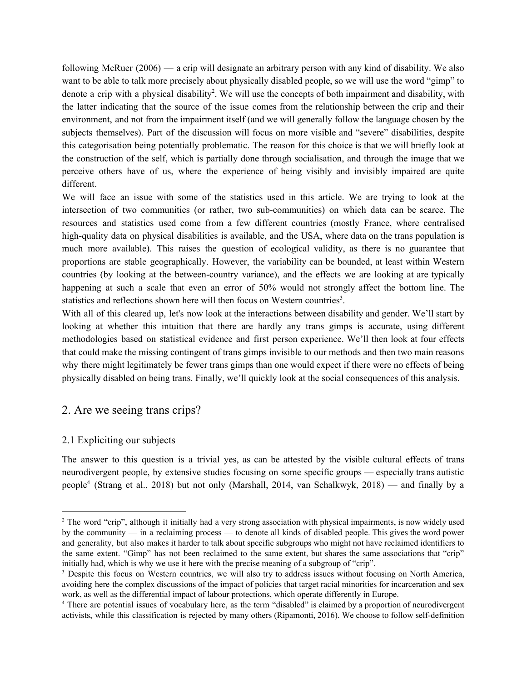following McRuer (2006) — a crip will designate an arbitrary person with any kind of disability. We also want to be able to talk more precisely about physically disabled people, so we will use the word "gimp" to denote a crip with a physical disability<sup>2</sup>. We will use the concepts of both impairment and disability, with the latter indicating that the source of the issue comes from the relationship between the crip and their environment, and not from the impairment itself (and we will generally follow the language chosen by the subjects themselves). Part of the discussion will focus on more visible and "severe" disabilities, despite this categorisation being potentially problematic. The reason for this choice is that we will briefly look at the construction of the self, which is partially done through socialisation, and through the image that we perceive others have of us, where the experience of being visibly and invisibly impaired are quite different.

We will face an issue with some of the statistics used in this article. We are trying to look at the intersection of two communities (or rather, two sub-communities) on which data can be scarce. The resources and statistics used come from a few different countries (mostly France, where centralised high-quality data on physical disabilities is available, and the USA, where data on the trans population is much more available). This raises the question of ecological validity, as there is no guarantee that proportions are stable geographically. However, the variability can be bounded, at least within Western countries (by looking at the between-country variance), and the effects we are looking at are typically happening at such a scale that even an error of 50% would not strongly affect the bottom line. The statistics and reflections shown here will then focus on Western countries<sup>3</sup>.

With all of this cleared up, let's now look at the interactions between disability and gender. We'll start by looking at whether this intuition that there are hardly any trans gimps is accurate, using different methodologies based on statistical evidence and first person experience. We'll then look at four effects that could make the missing contingent of trans gimps invisible to our methods and then two main reasons why there might legitimately be fewer trans gimps than one would expect if there were no effects of being physically disabled on being trans. Finally, we'll quickly look at the social consequences of this analysis.

## 2. Are we seeing trans crips?

### 2.1 Expliciting our subjects

The answer to this question is a trivial yes, as can be attested by the visible cultural effects of trans neurodivergent people, by extensive studies focusing on some specific groups — especially trans autistic people<sup>4</sup> (Strang et al., 2018) but not only (Marshall, 2014, van Schalkwyk, 2018) — and finally by a

<sup>&</sup>lt;sup>2</sup> The word "crip", although it initially had a very strong association with physical impairments, is now widely used by the community — in a reclaiming process — to denote all kinds of disabled people. This gives the word power and generality, but also makes it harder to talk about specific subgroups who might not have reclaimed identifiers to the same extent. "Gimp" has not been reclaimed to the same extent, but shares the same associations that "crip" initially had, which is why we use it here with the precise meaning of a subgroup of "crip".

<sup>&</sup>lt;sup>3</sup> Despite this focus on Western countries, we will also try to address issues without focusing on North America, avoiding here the complex discussions of the impact of policies that target racial minorities for incarceration and sex work, as well as the differential impact of labour protections, which operate differently in Europe.

<sup>&</sup>lt;sup>4</sup> There are potential issues of vocabulary here, as the term "disabled" is claimed by a proportion of neurodivergent activists, while this classification is rejected by many others (Ripamonti, 2016). We choose to follow self-definition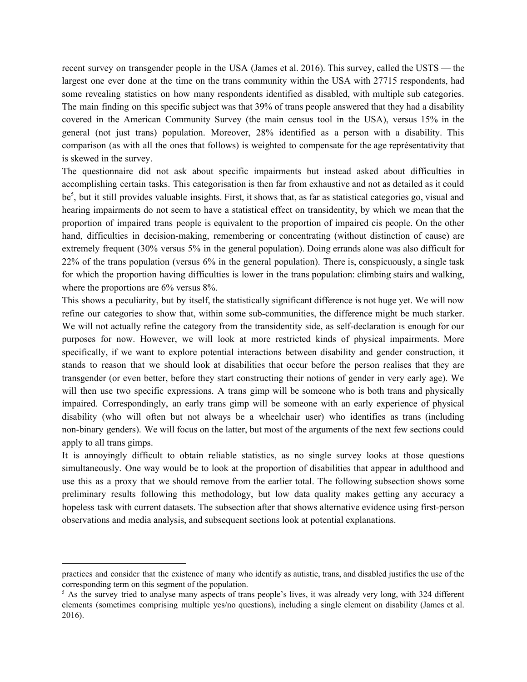recent survey on transgender people in the USA (James et al. 2016). This survey, called the USTS — the largest one ever done at the time on the trans community within the USA with 27715 respondents, had some revealing statistics on how many respondents identified as disabled, with multiple sub categories. The main finding on this specific subject was that 39% of trans people answered that they had a disability covered in the American Community Survey (the main census tool in the USA), versus 15% in the general (not just trans) population. Moreover, 28% identified as a person with a disability. This comparison (as with all the ones that follows) is weighted to compensate for the age représentativity that is skewed in the survey.

The questionnaire did not ask about specific impairments but instead asked about difficulties in accomplishing certain tasks. This categorisation is then far from exhaustive and not as detailed as it could  $be<sup>5</sup>$ , but it still provides valuable insights. First, it shows that, as far as statistical categories go, visual and hearing impairments do not seem to have a statistical effect on transidentity, by which we mean that the proportion of impaired trans people is equivalent to the proportion of impaired cis people. On the other hand, difficulties in decision-making, remembering or concentrating (without distinction of cause) are extremely frequent (30% versus 5% in the general population). Doing errands alone was also difficult for 22% of the trans population (versus 6% in the general population). There is, conspicuously, a single task for which the proportion having difficulties is lower in the trans population: climbing stairs and walking, where the proportions are  $6\%$  versus  $8\%$ .

This shows a peculiarity, but by itself, the statistically significant difference is not huge yet. We will now refine our categories to show that, within some sub-communities, the difference might be much starker. We will not actually refine the category from the transidentity side, as self-declaration is enough for our purposes for now. However, we will look at more restricted kinds of physical impairments. More specifically, if we want to explore potential interactions between disability and gender construction, it stands to reason that we should look at disabilities that occur before the person realises that they are transgender (or even better, before they start constructing their notions of gender in very early age). We will then use two specific expressions. A trans gimp will be someone who is both trans and physically impaired. Correspondingly, an early trans gimp will be someone with an early experience of physical disability (who will often but not always be a wheelchair user) who identifies as trans (including non-binary genders). We will focus on the latter, but most of the arguments of the next few sections could apply to all trans gimps.

It is annoyingly difficult to obtain reliable statistics, as no single survey looks at those questions simultaneously. One way would be to look at the proportion of disabilities that appear in adulthood and use this as a proxy that we should remove from the earlier total. The following subsection shows some preliminary results following this methodology, but low data quality makes getting any accuracy a hopeless task with current datasets. The subsection after that shows alternative evidence using first-person observations and media analysis, and subsequent sections look at potential explanations.

practices and consider that the existence of many who identify as autistic, trans, and disabled justifies the use of the corresponding term on this segment of the population.

<sup>&</sup>lt;sup>5</sup> As the survey tried to analyse many aspects of trans people's lives, it was already very long, with 324 different elements (sometimes comprising multiple yes/no questions), including a single element on disability (James et al. 2016).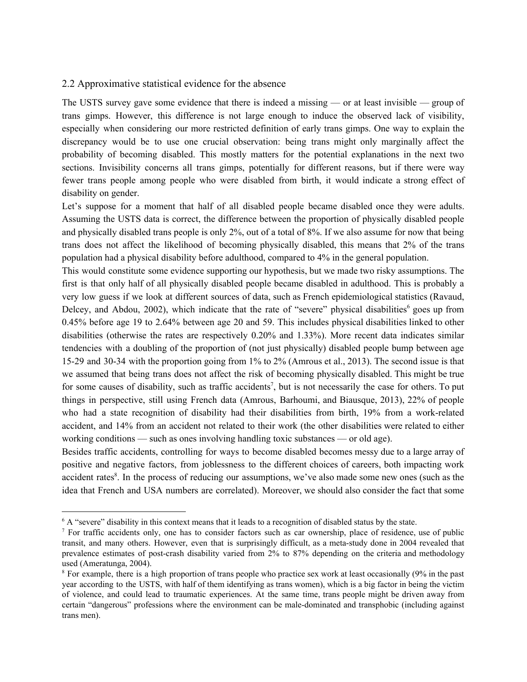#### 2.2 Approximative statistical evidence for the absence

The USTS survey gave some evidence that there is indeed a missing — or at least invisible — group of trans gimps. However, this difference is not large enough to induce the observed lack of visibility, especially when considering our more restricted definition of early trans gimps. One way to explain the discrepancy would be to use one crucial observation: being trans might only marginally affect the probability of becoming disabled. This mostly matters for the potential explanations in the next two sections. Invisibility concerns all trans gimps, potentially for different reasons, but if there were way fewer trans people among people who were disabled from birth, it would indicate a strong effect of disability on gender.

Let's suppose for a moment that half of all disabled people became disabled once they were adults. Assuming the USTS data is correct, the difference between the proportion of physically disabled people and physically disabled trans people is only 2%, out of a total of 8%. If we also assume for now that being trans does not affect the likelihood of becoming physically disabled, this means that 2% of the trans population had a physical disability before adulthood, compared to 4% in the general population.

This would constitute some evidence supporting our hypothesis, but we made two risky assumptions. The first is that only half of all physically disabled people became disabled in adulthood. This is probably a very low guess if we look at different sources of data, such as French epidemiological statistics (Ravaud, Delcey, and Abdou, 2002), which indicate that the rate of "severe" physical disabilities<sup>6</sup> goes up from 0.45% before age 19 to 2.64% between age 20 and 59. This includes physical disabilities linked to other disabilities (otherwise the rates are respectively 0.20% and 1.33%). More recent data indicates similar tendencies with a doubling of the proportion of (not just physically) disabled people bump between age 15-29 and 30-34 with the proportion going from 1% to 2% (Amrous et al., 2013). The second issue is that we assumed that being trans does not affect the risk of becoming physically disabled. This might be true for some causes of disability, such as traffic accidents<sup>7</sup>, but is not necessarily the case for others. To put things in perspective, still using French data (Amrous, Barhoumi, and Biausque, 2013), 22% of people who had a state recognition of disability had their disabilities from birth, 19% from a work-related accident, and 14% from an accident not related to their work (the other disabilities were related to either working conditions — such as ones involving handling toxic substances — or old age).

Besides traffic accidents, controlling for ways to become disabled becomes messy due to a large array of positive and negative factors, from joblessness to the different choices of careers, both impacting work accident rates<sup>8</sup>. In the process of reducing our assumptions, we've also made some new ones (such as the idea that French and USA numbers are correlated). Moreover, we should also consider the fact that some

<sup>&</sup>lt;sup>6</sup> A "severe" disability in this context means that it leads to a recognition of disabled status by the state.

 $<sup>7</sup>$  For traffic accidents only, one has to consider factors such as car ownership, place of residence, use of public</sup> transit, and many others. However, even that is surprisingly difficult, as a meta-study done in 2004 revealed that prevalence estimates of post-crash disability varied from 2% to 87% depending on the criteria and methodology used (Ameratunga, 2004).

<sup>8</sup> For example, there is a high proportion of trans people who practice sex work at least occasionally (9% in the past year according to the USTS, with half of them identifying as trans women), which is a big factor in being the victim of violence, and could lead to traumatic experiences. At the same time, trans people might be driven away from certain "dangerous" professions where the environment can be male-dominated and transphobic (including against trans men).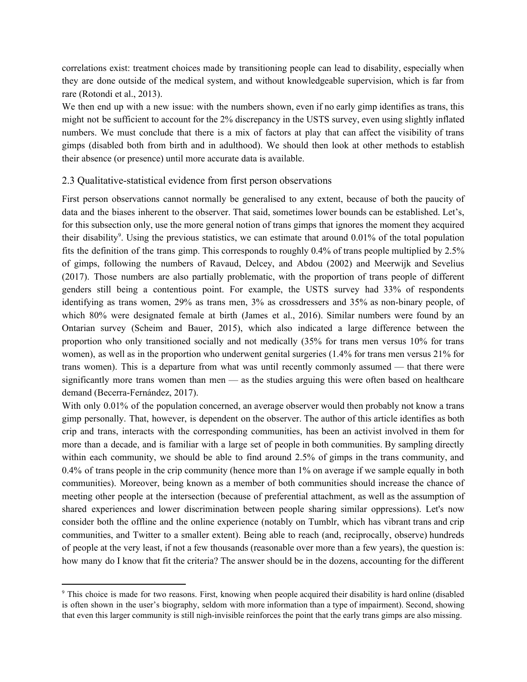correlations exist: treatment choices made by transitioning people can lead to disability, especially when they are done outside of the medical system, and without knowledgeable supervision, which is far from rare (Rotondi et al., 2013).

We then end up with a new issue: with the numbers shown, even if no early gimp identifies as trans, this might not be sufficient to account for the 2% discrepancy in the USTS survey, even using slightly inflated numbers. We must conclude that there is a mix of factors at play that can affect the visibility of trans gimps (disabled both from birth and in adulthood). We should then look at other methods to establish their absence (or presence) until more accurate data is available.

#### 2.3 Qualitative-statistical evidence from first person observations

First person observations cannot normally be generalised to any extent, because of both the paucity of data and the biases inherent to the observer. That said, sometimes lower bounds can be established. Let's, for this subsection only, use the more general notion of trans gimps that ignores the moment they acquired their disability<sup>9</sup>. Using the previous statistics, we can estimate that around  $0.01\%$  of the total population fits the definition of the trans gimp. This corresponds to roughly 0.4% of trans people multiplied by 2.5% of gimps, following the numbers of Ravaud, Delcey, and Abdou (2002) and Meerwijk and Sevelius (2017). Those numbers are also partially problematic, with the proportion of trans people of different genders still being a contentious point. For example, the USTS survey had 33% of respondents identifying as trans women, 29% as trans men, 3% as crossdressers and 35% as non-binary people, of which 80% were designated female at birth (James et al., 2016). Similar numbers were found by an Ontarian survey (Scheim and Bauer, 2015), which also indicated a large difference between the proportion who only transitioned socially and not medically (35% for trans men versus 10% for trans women), as well as in the proportion who underwent genital surgeries (1.4% for trans men versus 21% for trans women). This is a departure from what was until recently commonly assumed — that there were significantly more trans women than men — as the studies arguing this were often based on healthcare demand (Becerra-Fernández, 2017).

With only 0.01% of the population concerned, an average observer would then probably not know a trans gimp personally. That, however, is dependent on the observer. The author of this article identifies as both crip and trans, interacts with the corresponding communities, has been an activist involved in them for more than a decade, and is familiar with a large set of people in both communities. By sampling directly within each community, we should be able to find around 2.5% of gimps in the trans community, and 0.4% of trans people in the crip community (hence more than 1% on average if we sample equally in both communities). Moreover, being known as a member of both communities should increase the chance of meeting other people at the intersection (because of preferential attachment, as well as the assumption of shared experiences and lower discrimination between people sharing similar oppressions). Let's now consider both the offline and the online experience (notably on Tumblr, which has vibrant trans and crip communities, and Twitter to a smaller extent). Being able to reach (and, reciprocally, observe) hundreds of people at the very least, if not a few thousands (reasonable over more than a few years), the question is: how many do I know that fit the criteria? The answer should be in the dozens, accounting for the different

<sup>9</sup> This choice is made for two reasons. First, knowing when people acquired their disability is hard online (disabled is often shown in the user's biography, seldom with more information than a type of impairment). Second, showing that even this larger community is still nigh-invisible reinforces the point that the early trans gimps are also missing.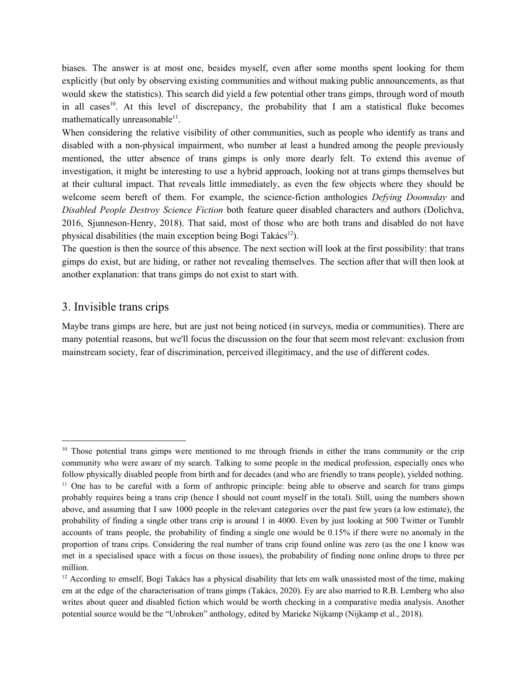biases. The answer is at most one, besides myself, even after some months spent looking for them explicitly (but only by observing existing communities and without making public announcements, as that would skew the statistics). This search did yield a few potential other trans gimps, through word of mouth in all cases<sup>10</sup>. At this level of discrepancy, the probability that I am a statistical fluke becomes mathematically unreasonable $^{11}$ .

When considering the relative visibility of other communities, such as people who identify as trans and disabled with a non-physical impairment, who number at least a hundred among the people previously mentioned, the utter absence of trans gimps is only more dearly felt. To extend this avenue of investigation, it might be interesting to use a hybrid approach, looking not at trans gimps themselves but at their cultural impact. That reveals little immediately, as even the few objects where they should be welcome seem bereft of them. For example, the science-fiction anthologies *Defying Doomsday* and *Disabled People Destroy Science Fiction* both feature queer disabled characters and authors (Dolichva, 2016, Sjunneson-Henry, 2018). That said, most of those who are both trans and disabled do not have physical disabilities (the main exception being Bogi Takács<sup>12</sup>).

The question is then the source of this absence. The next section will look at the first possibility: that trans gimps do exist, but are hiding, or rather not revealing themselves. The section after that will then look at another explanation: that trans gimps do not exist to start with.

## 3. Invisible trans crips

Maybe trans gimps are here, but are just not being noticed (in surveys, media or communities). There are many potential reasons, but we'll focus the discussion on the four that seem most relevant: exclusion from mainstream society, fear of discrimination, perceived illegitimacy, and the use of different codes.

<sup>&</sup>lt;sup>10</sup> Those potential trans gimps were mentioned to me through friends in either the trans community or the crip community who were aware of my search. Talking to some people in the medical profession, especially ones who follow physically disabled people from birth and for decades (and who are friendly to trans people), yielded nothing. <sup>11</sup> One has to be careful with a form of anthropic principle: being able to observe and search for trans gimps probably requires being a trans crip (hence I should not count myself in the total). Still, using the numbers shown above, and assuming that I saw 1000 people in the relevant categories over the past few years (a low estimate), the probability of finding a single other trans crip is around 1 in 4000. Even by just looking at 500 Twitter or Tumblr accounts of trans people, the probability of finding a single one would be 0.15% if there were no anomaly in the proportion of trans crips. Considering the real number of trans crip found online was zero (as the one I know was met in a specialised space with a focus on those issues), the probability of finding none online drops to three per million.

 $12$  According to emself, Bogi Takács has a physical disability that lets em walk unassisted most of the time, making em at the edge of the characterisation of trans gimps (Takács, 2020). Ey are also married to R.B. Lemberg who also writes about queer and disabled fiction which would be worth checking in a comparative media analysis. Another potential source would be the "Unbroken" anthology, edited by Marieke Nijkamp (Nijkamp et al., 2018).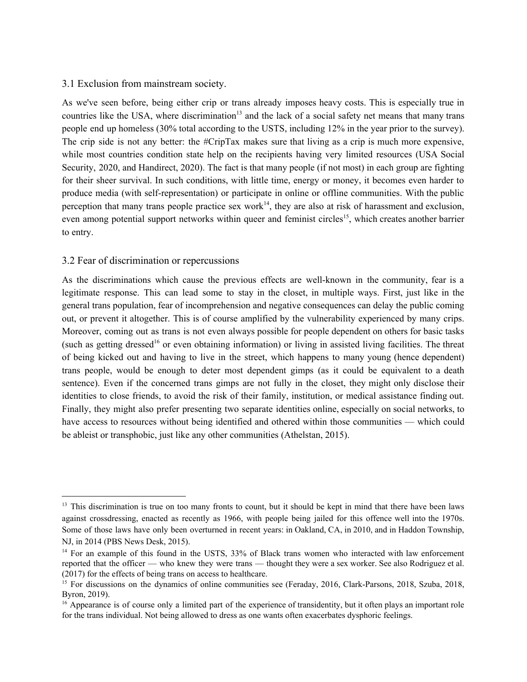#### 3.1 Exclusion from mainstream society.

As we've seen before, being either crip or trans already imposes heavy costs. This is especially true in countries like the USA, where discrimination<sup>13</sup> and the lack of a social safety net means that many trans people end up homeless (30% total according to the USTS, including 12% in the year prior to the survey). The crip side is not any better: the #CripTax makes sure that living as a crip is much more expensive, while most countries condition state help on the recipients having very limited resources (USA Social Security, 2020, and Handirect, 2020). The fact is that many people (if not most) in each group are fighting for their sheer survival. In such conditions, with little time, energy or money, it becomes even harder to produce media (with self-representation) or participate in online or offline communities. With the public perception that many trans people practice sex work<sup>14</sup>, they are also at risk of harassment and exclusion, even among potential support networks within queer and feminist circles<sup>15</sup>, which creates another barrier to entry.

#### 3.2 Fear of discrimination or repercussions

As the discriminations which cause the previous effects are well-known in the community, fear is a legitimate response. This can lead some to stay in the closet, in multiple ways. First, just like in the general trans population, fear of incomprehension and negative consequences can delay the public coming out, or prevent it altogether. This is of course amplified by the vulnerability experienced by many crips. Moreover, coming out as trans is not even always possible for people dependent on others for basic tasks (such as getting dressed<sup>16</sup> or even obtaining information) or living in assisted living facilities. The threat of being kicked out and having to live in the street, which happens to many young (hence dependent) trans people, would be enough to deter most dependent gimps (as it could be equivalent to a death sentence). Even if the concerned trans gimps are not fully in the closet, they might only disclose their identities to close friends, to avoid the risk of their family, institution, or medical assistance finding out. Finally, they might also prefer presenting two separate identities online, especially on social networks, to have access to resources without being identified and othered within those communities — which could be ableist or transphobic, just like any other communities (Athelstan, 2015).

<sup>&</sup>lt;sup>13</sup> This discrimination is true on too many fronts to count, but it should be kept in mind that there have been laws against crossdressing, enacted as recently as 1966, with people being jailed for this offence well into the 1970s. Some of those laws have only been overturned in recent years: in Oakland, CA, in 2010, and in Haddon Township, NJ, in 2014 (PBS News Desk, 2015).

<sup>&</sup>lt;sup>14</sup> For an example of this found in the USTS, 33% of Black trans women who interacted with law enforcement reported that the officer — who knew they were trans — thought they were a sex worker. See also Rodriguez et al. (2017) for the effects of being trans on access to healthcare.

<sup>&</sup>lt;sup>15</sup> For discussions on the dynamics of online communities see (Feraday, 2016, Clark-Parsons, 2018, Szuba, 2018, Byron, 2019).

 $16$  Appearance is of course only a limited part of the experience of transidentity, but it often plays an important role for the trans individual. Not being allowed to dress as one wants often exacerbates dysphoric feelings.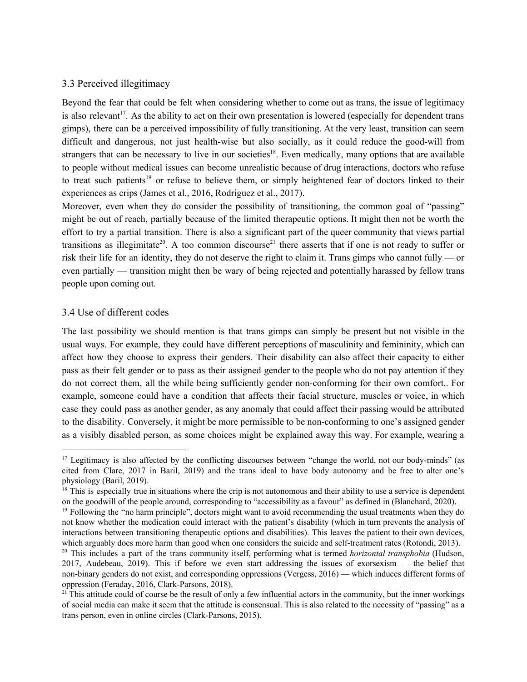#### 3.3 Perceived illegitimacy

Beyond the fear that could be felt when considering whether to come out as trans, the issue of legitimacy is also relevant<sup>17</sup>. As the ability to act on their own presentation is lowered (especially for dependent trans gimps), there can be a perceived impossibility of fully transitioning. At the very least, transition can seem difficult and dangerous, not just health-wise but also socially, as it could reduce the good-will from strangers that can be necessary to live in our societies<sup>18</sup>. Even medically, many options that are available to people without medical issues can become unrealistic because of drug interactions, doctors who refuse to treat such patients<sup>19</sup> or refuse to believe them, or simply heightened fear of doctors linked to their experiences as crips (James et al., 2016, Rodriguez et al., 2017).

Moreover, even when they do consider the possibility of transitioning, the common goal of "passing" might be out of reach, partially because of the limited therapeutic options. It might then not be worth the effort to try a partial transition. There is also a significant part of the queer community that views partial transitions as illegimitate<sup>20</sup>. A too common discourse<sup>21</sup> there asserts that if one is not ready to suffer or risk their life for an identity, they do not deserve the right to claim it. Trans gimps who cannot fully — or even partially — transition might then be wary of being rejected and potentially harassed by fellow trans people upon coming out.

### 3.4 Use of different codes

The last possibility we should mention is that trans gimps can simply be present but not visible in the usual ways. For example, they could have different perceptions of masculinity and femininity, which can affect how they choose to express their genders. Their disability can also affect their capacity to either pass as their felt gender or to pass as their assigned gender to the people who do not pay attention if they do not correct them, all the while being sufficiently gender non-conforming for their own comfort.. For example, someone could have a condition that affects their facial structure, muscles or voice, in which case they could pass as another gender, as any anomaly that could affect their passing would be attributed to the disability. Conversely, it might be more permissible to be non-conforming to one's assigned gender as a visibly disabled person, as some choices might be explained away this way. For example, wearing a

<sup>&</sup>lt;sup>17</sup> Legitimacy is also affected by the conflicting discourses between "change the world, not our body-minds" (as cited from Clare, 2017 in Baril, 2019) and the trans ideal to have body autonomy and be free to alter one's physiology (Baril, 2019).

<sup>&</sup>lt;sup>18</sup> This is especially true in situations where the crip is not autonomous and their ability to use a service is dependent on the goodwill of the people around, corresponding to "accessibility as a favour" as defined in (Blanchard, 2020).

<sup>&</sup>lt;sup>19</sup> Following the "no harm principle", doctors might want to avoid recommending the usual treatments when they do not know whether the medication could interact with the patient's disability (which in turn prevents the analysis of interactions between transitioning therapeutic options and disabilities). This leaves the patient to their own devices, which arguably does more harm than good when one considers the suicide and self-treatment rates (Rotondi, 2013).

<sup>20</sup> This includes a part of the trans community itself, performing what is termed *horizontal transphobia* (Hudson, 2017, Audebeau, 2019). This if before we even start addressing the issues of exorsexism — the belief that non-binary genders do not exist, and corresponding oppressions (Vergess, 2016) — which induces different forms of oppression (Feraday, 2016, Clark-Parsons, 2018).

 $21$  This attitude could of course be the result of only a few influential actors in the community, but the inner workings of social media can make it seem that the attitude is consensual. This is also related to the necessity of "passing" as a trans person, even in online circles (Clark-Parsons, 2015).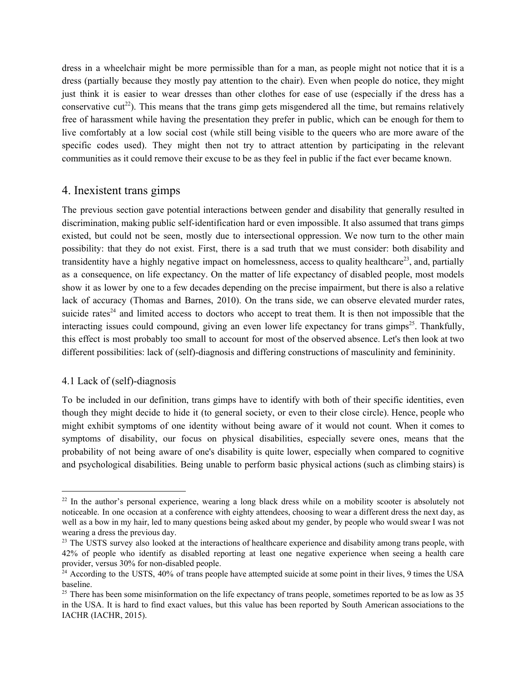dress in a wheelchair might be more permissible than for a man, as people might not notice that it is a dress (partially because they mostly pay attention to the chair). Even when people do notice, they might just think it is easier to wear dresses than other clothes for ease of use (especially if the dress has a conservative cut<sup>22</sup>). This means that the trans gimp gets misgendered all the time, but remains relatively free of harassment while having the presentation they prefer in public, which can be enough for them to live comfortably at a low social cost (while still being visible to the queers who are more aware of the specific codes used). They might then not try to attract attention by participating in the relevant communities as it could remove their excuse to be as they feel in public if the fact ever became known.

## 4. Inexistent trans gimps

The previous section gave potential interactions between gender and disability that generally resulted in discrimination, making public self-identification hard or even impossible. It also assumed that trans gimps existed, but could not be seen, mostly due to intersectional oppression. We now turn to the other main possibility: that they do not exist. First, there is a sad truth that we must consider: both disability and transidentity have a highly negative impact on homelessness, access to quality healthcare<sup>23</sup>, and, partially as a consequence, on life expectancy. On the matter of life expectancy of disabled people, most models show it as lower by one to a few decades depending on the precise impairment, but there is also a relative lack of accuracy (Thomas and Barnes, 2010). On the trans side, we can observe elevated murder rates, suicide rates<sup>24</sup> and limited access to doctors who accept to treat them. It is then not impossible that the interacting issues could compound, giving an even lower life expectancy for trans gimps<sup>25</sup>. Thankfully, this effect is most probably too small to account for most of the observed absence. Let's then look at two different possibilities: lack of (self)-diagnosis and differing constructions of masculinity and femininity.

### 4.1 Lack of (self)-diagnosis

To be included in our definition, trans gimps have to identify with both of their specific identities, even though they might decide to hide it (to general society, or even to their close circle). Hence, people who might exhibit symptoms of one identity without being aware of it would not count. When it comes to symptoms of disability, our focus on physical disabilities, especially severe ones, means that the probability of not being aware of one's disability is quite lower, especially when compared to cognitive and psychological disabilities. Being unable to perform basic physical actions (such as climbing stairs) is

 $22$  In the author's personal experience, wearing a long black dress while on a mobility scooter is absolutely not noticeable. In one occasion at a conference with eighty attendees, choosing to wear a different dress the next day, as well as a bow in my hair, led to many questions being asked about my gender, by people who would swear I was not wearing a dress the previous day.

<sup>&</sup>lt;sup>23</sup> The USTS survey also looked at the interactions of healthcare experience and disability among trans people, with 42% of people who identify as disabled reporting at least one negative experience when seeing a health care provider, versus 30% for non-disabled people.

 $24$  According to the USTS, 40% of trans people have attempted suicide at some point in their lives, 9 times the USA baseline.

<sup>&</sup>lt;sup>25</sup> There has been some misinformation on the life expectancy of trans people, sometimes reported to be as low as 35 in the USA. It is hard to find exact values, but this value has been reported by South American associations to the IACHR (IACHR, 2015).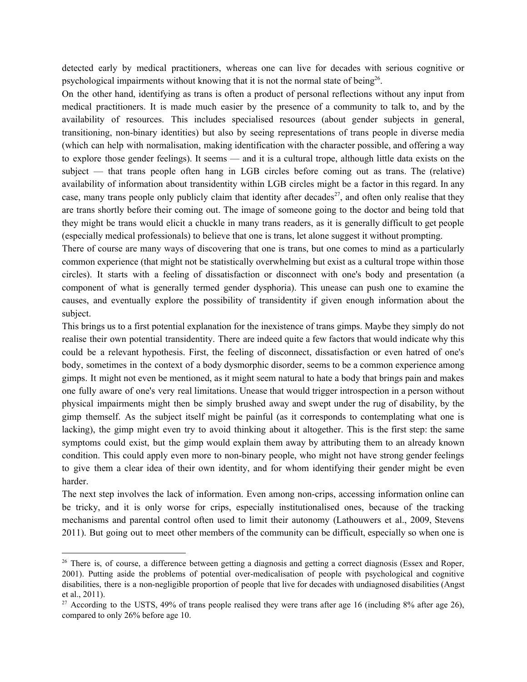detected early by medical practitioners, whereas one can live for decades with serious cognitive or psychological impairments without knowing that it is not the normal state of being<sup>26</sup>.

On the other hand, identifying as trans is often a product of personal reflections without any input from medical practitioners. It is made much easier by the presence of a community to talk to, and by the availability of resources. This includes specialised resources (about gender subjects in general, transitioning, non-binary identities) but also by seeing representations of trans people in diverse media (which can help with normalisation, making identification with the character possible, and offering a way to explore those gender feelings). It seems — and it is a cultural trope, although little data exists on the subject — that trans people often hang in LGB circles before coming out as trans. The (relative) availability of information about transidentity within LGB circles might be a factor in this regard. In any case, many trans people only publicly claim that identity after decades<sup>27</sup>, and often only realise that they are trans shortly before their coming out. The image of someone going to the doctor and being told that they might be trans would elicit a chuckle in many trans readers, as it is generally difficult to get people (especially medical professionals) to believe that one is trans, let alone suggest it without prompting.

There of course are many ways of discovering that one is trans, but one comes to mind as a particularly common experience (that might not be statistically overwhelming but exist as a cultural trope within those circles). It starts with a feeling of dissatisfaction or disconnect with one's body and presentation (a component of what is generally termed gender dysphoria). This unease can push one to examine the causes, and eventually explore the possibility of transidentity if given enough information about the subject.

This brings us to a first potential explanation for the inexistence of trans gimps. Maybe they simply do not realise their own potential transidentity. There are indeed quite a few factors that would indicate why this could be a relevant hypothesis. First, the feeling of disconnect, dissatisfaction or even hatred of one's body, sometimes in the context of a body dysmorphic disorder, seems to be a common experience among gimps. It might not even be mentioned, as it might seem natural to hate a body that brings pain and makes one fully aware of one's very real limitations. Unease that would trigger introspection in a person without physical impairments might then be simply brushed away and swept under the rug of disability, by the gimp themself. As the subject itself might be painful (as it corresponds to contemplating what one is lacking), the gimp might even try to avoid thinking about it altogether. This is the first step: the same symptoms could exist, but the gimp would explain them away by attributing them to an already known condition. This could apply even more to non-binary people, who might not have strong gender feelings to give them a clear idea of their own identity, and for whom identifying their gender might be even harder.

The next step involves the lack of information. Even among non-crips, accessing information online can be tricky, and it is only worse for crips, especially institutionalised ones, because of the tracking mechanisms and parental control often used to limit their autonomy (Lathouwers et al., 2009, Stevens 2011). But going out to meet other members of the community can be difficult, especially so when one is

 $26$  There is, of course, a difference between getting a diagnosis and getting a correct diagnosis (Essex and Roper, 2001). Putting aside the problems of potential over-medicalisation of people with psychological and cognitive disabilities, there is a non-negligible proportion of people that live for decades with undiagnosed disabilities (Angst et al., 2011).

<sup>&</sup>lt;sup>27</sup> According to the USTS,  $49\%$  of trans people realised they were trans after age 16 (including  $8\%$  after age 26), compared to only 26% before age 10.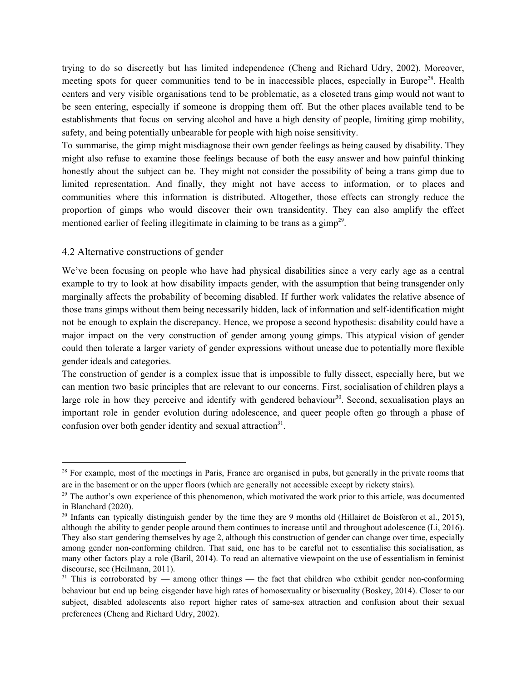trying to do so discreetly but has limited independence (Cheng and Richard Udry, 2002). Moreover, meeting spots for queer communities tend to be in inaccessible places, especially in Europe<sup>28</sup>. Health centers and very visible organisations tend to be problematic, as a closeted trans gimp would not want to be seen entering, especially if someone is dropping them off. But the other places available tend to be establishments that focus on serving alcohol and have a high density of people, limiting gimp mobility, safety, and being potentially unbearable for people with high noise sensitivity.

To summarise, the gimp might misdiagnose their own gender feelings as being caused by disability. They might also refuse to examine those feelings because of both the easy answer and how painful thinking honestly about the subject can be. They might not consider the possibility of being a trans gimp due to limited representation. And finally, they might not have access to information, or to places and communities where this information is distributed. Altogether, those effects can strongly reduce the proportion of gimps who would discover their own transidentity. They can also amplify the effect mentioned earlier of feeling illegitimate in claiming to be trans as a gimp<sup>29</sup>.

#### 4.2 Alternative constructions of gender

We've been focusing on people who have had physical disabilities since a very early age as a central example to try to look at how disability impacts gender, with the assumption that being transgender only marginally affects the probability of becoming disabled. If further work validates the relative absence of those trans gimps without them being necessarily hidden, lack of information and self-identification might not be enough to explain the discrepancy. Hence, we propose a second hypothesis: disability could have a major impact on the very construction of gender among young gimps. This atypical vision of gender could then tolerate a larger variety of gender expressions without unease due to potentially more flexible gender ideals and categories.

The construction of gender is a complex issue that is impossible to fully dissect, especially here, but we can mention two basic principles that are relevant to our concerns. First, socialisation of children plays a large role in how they perceive and identify with gendered behaviour<sup>30</sup>. Second, sexualisation plays an important role in gender evolution during adolescence, and queer people often go through a phase of confusion over both gender identity and sexual attraction $31$ .

 $28$  For example, most of the meetings in Paris, France are organised in pubs, but generally in the private rooms that are in the basement or on the upper floors (which are generally not accessible except by rickety stairs).

<sup>&</sup>lt;sup>29</sup> The author's own experience of this phenomenon, which motivated the work prior to this article, was documented in Blanchard (2020).

 $30$  Infants can typically distinguish gender by the time they are 9 months old (Hillairet de Boisferon et al., 2015), although the ability to gender people around them continues to increase until and throughout adolescence (Li, 2016). They also start gendering themselves by age 2, although this construction of gender can change over time, especially among gender non-conforming children. That said, one has to be careful not to essentialise this socialisation, as many other factors play a role (Baril, 2014). To read an alternative viewpoint on the use of essentialism in feminist discourse, see (Heilmann, 2011).

 $31$  This is corroborated by — among other things — the fact that children who exhibit gender non-conforming behaviour but end up being cisgender have high rates of homosexuality or bisexuality (Boskey, 2014). Closer to our subject, disabled adolescents also report higher rates of same-sex attraction and confusion about their sexual preferences (Cheng and Richard Udry, 2002).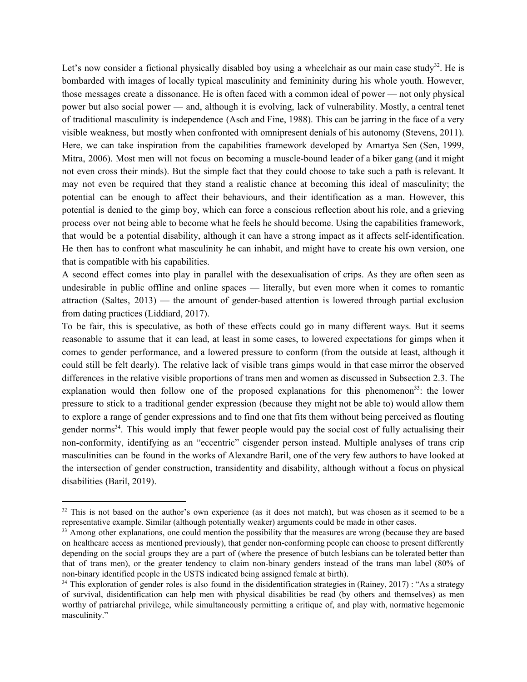Let's now consider a fictional physically disabled boy using a wheelchair as our main case study<sup>32</sup>. He is bombarded with images of locally typical masculinity and femininity during his whole youth. However, those messages create a dissonance. He is often faced with a common ideal of power — not only physical power but also social power — and, although it is evolving, lack of vulnerability. Mostly, a central tenet of traditional masculinity is independence (Asch and Fine, 1988). This can be jarring in the face of a very visible weakness, but mostly when confronted with omnipresent denials of his autonomy (Stevens, 2011). Here, we can take inspiration from the capabilities framework developed by Amartya Sen (Sen, 1999, Mitra, 2006). Most men will not focus on becoming a muscle-bound leader of a biker gang (and it might not even cross their minds). But the simple fact that they could choose to take such a path is relevant. It may not even be required that they stand a realistic chance at becoming this ideal of masculinity; the potential can be enough to affect their behaviours, and their identification as a man. However, this potential is denied to the gimp boy, which can force a conscious reflection about his role, and a grieving process over not being able to become what he feels he should become. Using the capabilities framework, that would be a potential disability, although it can have a strong impact as it affects self-identification. He then has to confront what masculinity he can inhabit, and might have to create his own version, one that is compatible with his capabilities.

A second effect comes into play in parallel with the desexualisation of crips. As they are often seen as undesirable in public offline and online spaces — literally, but even more when it comes to romantic attraction (Saltes, 2013) — the amount of gender-based attention is lowered through partial exclusion from dating practices (Liddiard, 2017).

To be fair, this is speculative, as both of these effects could go in many different ways. But it seems reasonable to assume that it can lead, at least in some cases, to lowered expectations for gimps when it comes to gender performance, and a lowered pressure to conform (from the outside at least, although it could still be felt dearly). The relative lack of visible trans gimps would in that case mirror the observed differences in the relative visible proportions of trans men and women as discussed in Subsection 2.3. The explanation would then follow one of the proposed explanations for this phenomenon<sup>33</sup>: the lower pressure to stick to a traditional gender expression (because they might not be able to) would allow them to explore a range of gender expressions and to find one that fits them without being perceived as flouting gender norms<sup>34</sup>. This would imply that fewer people would pay the social cost of fully actualising their non-conformity, identifying as an "eccentric" cisgender person instead. Multiple analyses of trans crip masculinities can be found in the works of Alexandre Baril, one of the very few authors to have looked at the intersection of gender construction, transidentity and disability, although without a focus on physical disabilities (Baril, 2019).

<sup>&</sup>lt;sup>32</sup> This is not based on the author's own experience (as it does not match), but was chosen as it seemed to be a representative example. Similar (although potentially weaker) arguments could be made in other cases.

<sup>&</sup>lt;sup>33</sup> Among other explanations, one could mention the possibility that the measures are wrong (because they are based on healthcare access as mentioned previously), that gender non-conforming people can choose to present differently depending on the social groups they are a part of (where the presence of butch lesbians can be tolerated better than that of trans men), or the greater tendency to claim non-binary genders instead of the trans man label (80% of non-binary identified people in the USTS indicated being assigned female at birth).

 $34$  This exploration of gender roles is also found in the disidentification strategies in (Rainey, 2017) : "As a strategy of survival, disidentification can help men with physical disabilities be read (by others and themselves) as men worthy of patriarchal privilege, while simultaneously permitting a critique of, and play with, normative hegemonic masculinity."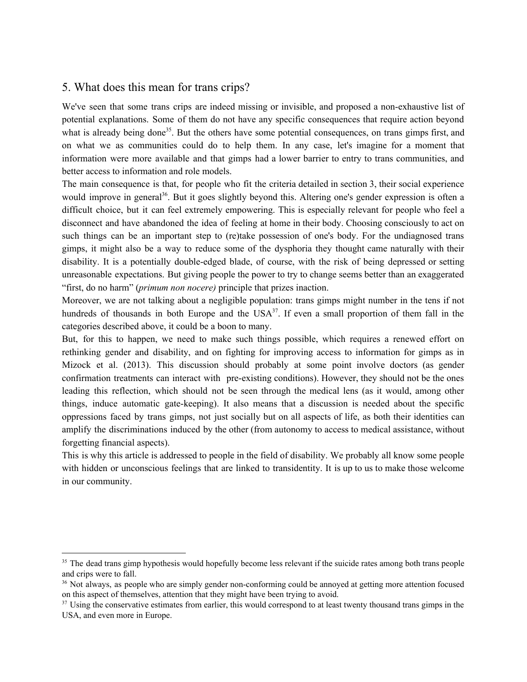## 5. What does this mean for trans crips?

We've seen that some trans crips are indeed missing or invisible, and proposed a non-exhaustive list of potential explanations. Some of them do not have any specific consequences that require action beyond what is already being done<sup>35</sup>. But the others have some potential consequences, on trans gimps first, and on what we as communities could do to help them. In any case, let's imagine for a moment that information were more available and that gimps had a lower barrier to entry to trans communities, and better access to information and role models.

The main consequence is that, for people who fit the criteria detailed in section 3, their social experience would improve in general<sup>36</sup>. But it goes slightly beyond this. Altering one's gender expression is often a difficult choice, but it can feel extremely empowering. This is especially relevant for people who feel a disconnect and have abandoned the idea of feeling at home in their body. Choosing consciously to act on such things can be an important step to (re)take possession of one's body. For the undiagnosed trans gimps, it might also be a way to reduce some of the dysphoria they thought came naturally with their disability. It is a potentially double-edged blade, of course, with the risk of being depressed or setting unreasonable expectations. But giving people the power to try to change seems better than an exaggerated "first, do no harm" (*primum non nocere)* principle that prizes inaction.

Moreover, we are not talking about a negligible population: trans gimps might number in the tens if not hundreds of thousands in both Europe and the  $USA^{37}$ . If even a small proportion of them fall in the categories described above, it could be a boon to many.

But, for this to happen, we need to make such things possible, which requires a renewed effort on rethinking gender and disability, and on fighting for improving access to information for gimps as in Mizock et al. (2013). This discussion should probably at some point involve doctors (as gender confirmation treatments can interact with pre-existing conditions). However, they should not be the ones leading this reflection, which should not be seen through the medical lens (as it would, among other things, induce automatic gate-keeping). It also means that a discussion is needed about the specific oppressions faced by trans gimps, not just socially but on all aspects of life, as both their identities can amplify the discriminations induced by the other (from autonomy to access to medical assistance, without forgetting financial aspects).

This is why this article is addressed to people in the field of disability. We probably all know some people with hidden or unconscious feelings that are linked to transidentity. It is up to us to make those welcome in our community.

<sup>&</sup>lt;sup>35</sup> The dead trans gimp hypothesis would hopefully become less relevant if the suicide rates among both trans people and crips were to fall.

<sup>&</sup>lt;sup>36</sup> Not always, as people who are simply gender non-conforming could be annoyed at getting more attention focused on this aspect of themselves, attention that they might have been trying to avoid.

<sup>&</sup>lt;sup>37</sup> Using the conservative estimates from earlier, this would correspond to at least twenty thousand trans gimps in the USA, and even more in Europe.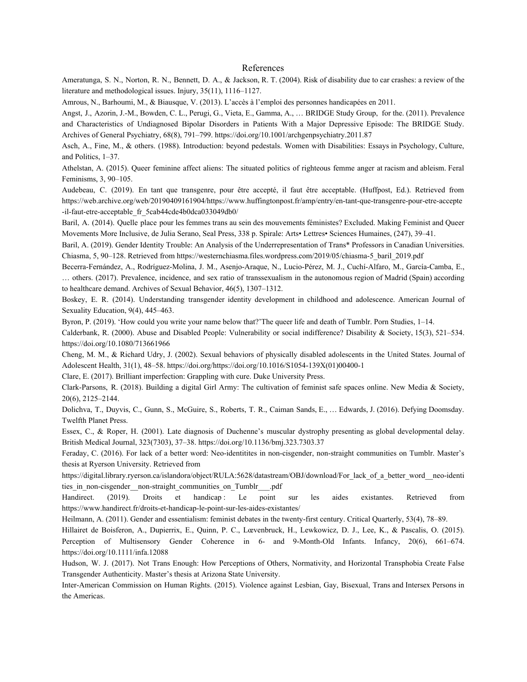#### References

Ameratunga, S. N., Norton, R. N., Bennett, D. A., & Jackson, R. T. (2004). Risk of disability due to car crashes: a review of the literature and methodological issues. Injury, 35(11), 1116–1127.

Amrous, N., Barhoumi, M., & Biausque, V. (2013). L'accès à l'emploi des personnes handicapées en 2011.

Angst, J., Azorin, J.-M., Bowden, C. L., Perugi, G., Vieta, E., Gamma, A., … BRIDGE Study Group, for the. (2011). Prevalence and Characteristics of Undiagnosed Bipolar Disorders in Patients With a Major Depressive Episode: The BRIDGE Study. Archives of General Psychiatry, 68(8), 791–799. https://doi.org/10.1001/archgenpsychiatry.2011.87

Asch, A., Fine, M., & others. (1988). Introduction: beyond pedestals. Women with Disabilities: Essays in Psychology, Culture, and Politics, 1–37.

Athelstan, A. (2015). Queer feminine affect aliens: The situated politics of righteous femme anger at racism and ableism. Feral Feminisms, 3, 90–105.

Audebeau, C. (2019). En tant que transgenre, pour être accepté, il faut être acceptable. (Huffpost, Ed.). Retrieved from https://web.archive.org/web/20190409161904/https://www.huffingtonpost.fr/amp/entry/en-tant-que-transgenre-pour-etre-accepte -il-faut-etre-acceptable\_fr\_5cab44cde4b0dca033049db0/

Baril, A. (2014). Quelle place pour les femmes trans au sein des mouvements féministes? Excluded. Making Feminist and Queer Movements More Inclusive, de Julia Serano, Seal Press, 338 p. Spirale: Arts• Lettres• Sciences Humaines, (247), 39–41.

Baril, A. (2019). Gender Identity Trouble: An Analysis of the Underrepresentation of Trans\* Professors in Canadian Universities. Chiasma, 5, 90–128. Retrieved from https://westernchiasma.files.wordpress.com/2019/05/chiasma-5\_baril\_2019.pdf

Becerra-Fernández, A., Rodríguez-Molina, J. M., Asenjo-Araque, N., Lucio-Pérez, M. J., Cuchí-Alfaro, M., García-Camba, E., … others. (2017). Prevalence, incidence, and sex ratio of transsexualism in the autonomous region of Madrid (Spain) according to healthcare demand. Archives of Sexual Behavior, 46(5), 1307–1312.

Boskey, E. R. (2014). Understanding transgender identity development in childhood and adolescence. American Journal of Sexuality Education, 9(4), 445–463.

Byron, P. (2019). 'How could you write your name below that?'The queer life and death of Tumblr. Porn Studies, 1–14.

Calderbank, R. (2000). Abuse and Disabled People: Vulnerability or social indifference? Disability & Society, 15(3), 521–534. https://doi.org/10.1080/713661966

Cheng, M. M., & Richard Udry, J. (2002). Sexual behaviors of physically disabled adolescents in the United States. Journal of Adolescent Health, 31(1), 48–58. https://doi.org/https://doi.org/10.1016/S1054-139X(01)00400-1

Clare, E. (2017). Brilliant imperfection: Grappling with cure. Duke University Press.

Clark-Parsons, R. (2018). Building a digital Girl Army: The cultivation of feminist safe spaces online. New Media & Society, 20(6), 2125–2144.

Dolichva, T., Duyvis, C., Gunn, S., McGuire, S., Roberts, T. R., Caiman Sands, E., … Edwards, J. (2016). Defying Doomsday. Twelfth Planet Press.

Essex, C., & Roper, H. (2001). Late diagnosis of Duchenne's muscular dystrophy presenting as global developmental delay. British Medical Journal, 323(7303), 37–38. https://doi.org/10.1136/bmj.323.7303.37

Feraday, C. (2016). For lack of a better word: Neo-identitites in non-cisgender, non-straight communities on Tumblr. Master's thesis at Ryerson University. Retrieved from

https://digital.library.ryerson.ca/islandora/object/RULA:5628/datastream/OBJ/download/For\_lack\_of\_a\_better\_word\_\_neo-identi ties in non-cisgender non-straight communities on Tumblr pdf

Handirect. (2019). Droits et handicap : Le point sur les aides existantes. Retrieved from https://www.handirect.fr/droits-et-handicap-le-point-sur-les-aides-existantes/

Heilmann, A. (2011). Gender and essentialism: feminist debates in the twenty-first century. Critical Quarterly, 53(4), 78–89.

Hillairet de Boisferon, A., Dupierrix, E., Quinn, P. C., Lœvenbruck, H., Lewkowicz, D. J., Lee, K., & Pascalis, O. (2015). Perception of Multisensory Gender Coherence in 6- and 9-Month-Old Infants. Infancy, 20(6), 661–674. https://doi.org/10.1111/infa.12088

Hudson, W. J. (2017). Not Trans Enough: How Perceptions of Others, Normativity, and Horizontal Transphobia Create False Transgender Authenticity. Master's thesis at Arizona State University.

Inter-American Commission on Human Rights. (2015). Violence against Lesbian, Gay, Bisexual, Trans and Intersex Persons in the Americas.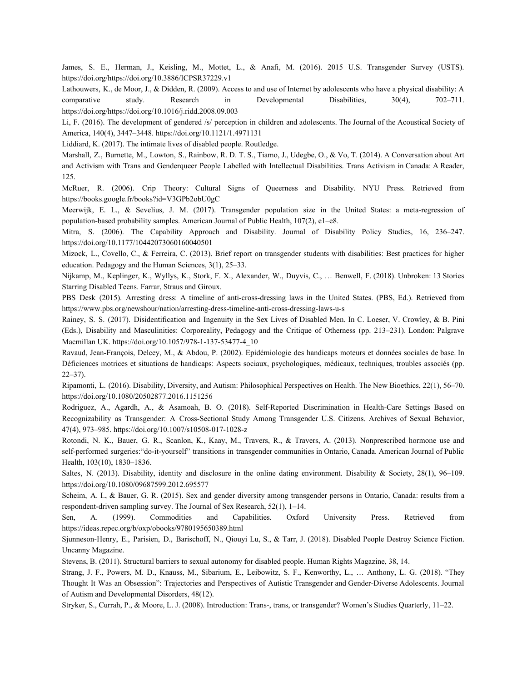James, S. E., Herman, J., Keisling, M., Mottet, L., & Anafi, M. (2016). 2015 U.S. Transgender Survey (USTS). https://doi.org/https://doi.org/10.3886/ICPSR37229.v1

Lathouwers, K., de Moor, J., & Didden, R. (2009). Access to and use of Internet by adolescents who have a physical disability: A comparative study. Research in Developmental Disabilities, 30(4), 702–711. https://doi.org/https://doi.org/10.1016/j.ridd.2008.09.003

Li, F. (2016). The development of gendered /s/ perception in children and adolescents. The Journal of the Acoustical Society of America, 140(4), 3447–3448. https://doi.org/10.1121/1.4971131

Liddiard, K. (2017). The intimate lives of disabled people. Routledge.

Marshall, Z., Burnette, M., Lowton, S., Rainbow, R. D. T. S., Tiamo, J., Udegbe, O., & Vo, T. (2014). A Conversation about Art and Activism with Trans and Genderqueer People Labelled with Intellectual Disabilities. Trans Activism in Canada: A Reader, 125.

McRuer, R. (2006). Crip Theory: Cultural Signs of Queerness and Disability. NYU Press. Retrieved from https://books.google.fr/books?id=V3GPb2obU0gC

Meerwijk, E. L., & Sevelius, J. M. (2017). Transgender population size in the United States: a meta-regression of population-based probability samples. American Journal of Public Health, 107(2), e1–e8.

Mitra, S. (2006). The Capability Approach and Disability. Journal of Disability Policy Studies, 16, 236–247. https://doi.org/10.1177/10442073060160040501

Mizock, L., Covello, C., & Ferreira, C. (2013). Brief report on transgender students with disabilities: Best practices for higher education. Pedagogy and the Human Sciences, 3(1), 25–33.

Nijkamp, M., Keplinger, K., Wyllys, K., Stork, F. X., Alexander, W., Duyvis, C., … Benwell, F. (2018). Unbroken: 13 Stories Starring Disabled Teens. Farrar, Straus and Giroux.

PBS Desk (2015). Arresting dress: A timeline of anti-cross-dressing laws in the United States. (PBS, Ed.). Retrieved from https://www.pbs.org/newshour/nation/arresting-dress-timeline-anti-cross-dressing-laws-u-s

Rainey, S. S. (2017). Disidentification and Ingenuity in the Sex Lives of Disabled Men. In C. Loeser, V. Crowley, & B. Pini (Eds.), Disability and Masculinities: Corporeality, Pedagogy and the Critique of Otherness (pp. 213–231). London: Palgrave Macmillan UK. https://doi.org/10.1057/978-1-137-53477-4\_10

Ravaud, Jean-François, Delcey, M., & Abdou, P. (2002). Epidémiologie des handicaps moteurs et données sociales de base. In Déficiences motrices et situations de handicaps: Aspects sociaux, psychologiques, médicaux, techniques, troubles associés (pp. 22–37).

Ripamonti, L. (2016). Disability, Diversity, and Autism: Philosophical Perspectives on Health. The New Bioethics, 22(1), 56–70. https://doi.org/10.1080/20502877.2016.1151256

Rodriguez, A., Agardh, A., & Asamoah, B. O. (2018). Self-Reported Discrimination in Health-Care Settings Based on Recognizability as Transgender: A Cross-Sectional Study Among Transgender U.S. Citizens. Archives of Sexual Behavior, 47(4), 973–985. https://doi.org/10.1007/s10508-017-1028-z

Rotondi, N. K., Bauer, G. R., Scanlon, K., Kaay, M., Travers, R., & Travers, A. (2013). Nonprescribed hormone use and self-performed surgeries:"do-it-yourself" transitions in transgender communities in Ontario, Canada. American Journal of Public Health, 103(10), 1830–1836.

Saltes, N. (2013). Disability, identity and disclosure in the online dating environment. Disability & Society, 28(1), 96–109. https://doi.org/10.1080/09687599.2012.695577

Scheim, A. I., & Bauer, G. R. (2015). Sex and gender diversity among transgender persons in Ontario, Canada: results from a respondent-driven sampling survey. The Journal of Sex Research, 52(1), 1–14.

Sen, A. (1999). Commodities and Capabilities. Oxford University Press. Retrieved from https://ideas.repec.org/b/oxp/obooks/9780195650389.html

Sjunneson-Henry, E., Parisien, D., Barischoff, N., Qiouyi Lu, S., & Tarr, J. (2018). Disabled People Destroy Science Fiction. Uncanny Magazine.

Stevens, B. (2011). Structural barriers to sexual autonomy for disabled people. Human Rights Magazine, 38, 14.

Strang, J. F., Powers, M. D., Knauss, M., Sibarium, E., Leibowitz, S. F., Kenworthy, L., … Anthony, L. G. (2018). "They Thought It Was an Obsession": Trajectories and Perspectives of Autistic Transgender and Gender-Diverse Adolescents. Journal of Autism and Developmental Disorders, 48(12).

Stryker, S., Currah, P., & Moore, L. J. (2008). Introduction: Trans-, trans, or transgender? Women's Studies Quarterly, 11–22.